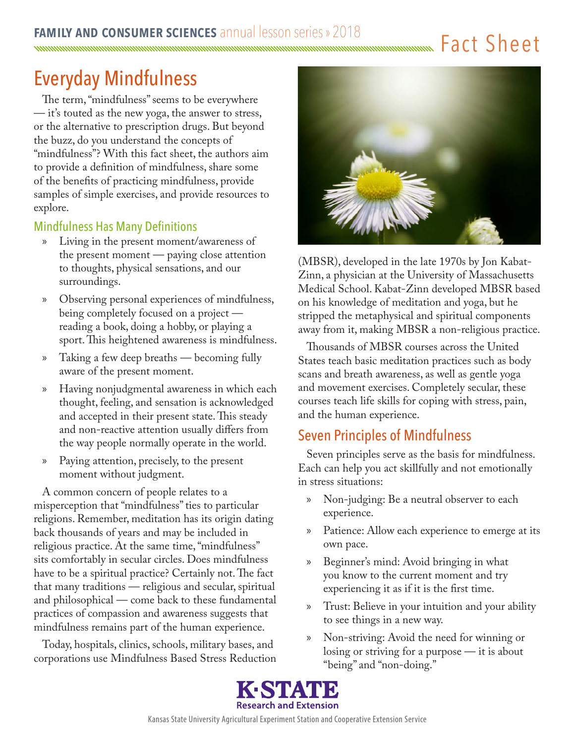Fact Sheet <u>mmmmmmmmmmmmmmmm</u>

# Everyday Mindfulness

The term, "mindfulness" seems to be everywhere — it's touted as the new yoga, the answer to stress, or the alternative to prescription drugs. But beyond the buzz, do you understand the concepts of "mindfulness"? With this fact sheet, the authors aim to provide a definition of mindfulness, share some of the benefits of practicing mindfulness, provide samples of simple exercises, and provide resources to explore.

## Mindfulness Has Many Definitions

- » Living in the present moment/awareness of the present moment — paying close attention to thoughts, physical sensations, and our surroundings.
- » Observing personal experiences of mindfulness, being completely focused on a project reading a book, doing a hobby, or playing a sport. This heightened awareness is mindfulness.
- » Taking a few deep breaths becoming fully aware of the present moment.
- » Having nonjudgmental awareness in which each thought, feeling, and sensation is acknowledged and accepted in their present state. This steady and non-reactive attention usually differs from the way people normally operate in the world.
- » Paying attention, precisely, to the present moment without judgment.

A common concern of people relates to a misperception that "mindfulness" ties to particular religions. Remember, meditation has its origin dating back thousands of years and may be included in religious practice. At the same time, "mindfulness" sits comfortably in secular circles. Does mindfulness have to be a spiritual practice? Certainly not. The fact that many traditions — religious and secular, spiritual and philosophical — come back to these fundamental practices of compassion and awareness suggests that mindfulness remains part of the human experience.

Today, hospitals, clinics, schools, military bases, and corporations use Mindfulness Based Stress Reduction



(MBSR), developed in the late 1970s by Jon Kabat-Zinn, a physician at the University of Massachusetts Medical School. Kabat-Zinn developed MBSR based on his knowledge of meditation and yoga, but he stripped the metaphysical and spiritual components away from it, making MBSR a non-religious practice.

Thousands of MBSR courses across the United States teach basic meditation practices such as body scans and breath awareness, as well as gentle yoga and movement exercises. Completely secular, these courses teach life skills for coping with stress, pain, and the human experience.

# Seven Principles of Mindfulness

Seven principles serve as the basis for mindfulness. Each can help you act skillfully and not emotionally in stress situations:

- » Non-judging: Be a neutral observer to each experience.
- » Patience: Allow each experience to emerge at its own pace.
- » Beginner's mind: Avoid bringing in what you know to the current moment and try experiencing it as if it is the first time.
- » Trust: Believe in your intuition and your ability to see things in a new way.
- » Non-striving: Avoid the need for winning or losing or striving for a purpose — it is about "being" and "non-doing."

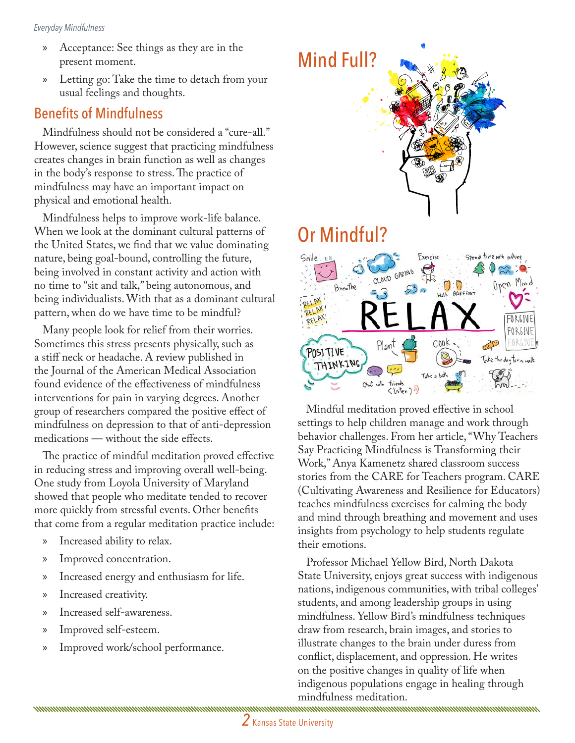- » Acceptance: See things as they are in the present moment.
- » Letting go: Take the time to detach from your usual feelings and thoughts.

## Benefits of Mindfulness

Mindfulness should not be considered a "cure-all." However, science suggest that practicing mindfulness creates changes in brain function as well as changes in the body's response to stress. The practice of mindfulness may have an important impact on physical and emotional health.

Mindfulness helps to improve work-life balance. When we look at the dominant cultural patterns of the United States, we find that we value dominating nature, being goal-bound, controlling the future, being involved in constant activity and action with no time to "sit and talk," being autonomous, and being individualists. With that as a dominant cultural pattern, when do we have time to be mindful?

Many people look for relief from their worries. Sometimes this stress presents physically, such as a stiff neck or headache. A review published in the Journal of the American Medical Association found evidence of the effectiveness of mindfulness interventions for pain in varying degrees. Another group of researchers compared the positive effect of mindfulness on depression to that of anti-depression medications — without the side effects.

The practice of mindful meditation proved effective in reducing stress and improving overall well-being. One study from Loyola University of Maryland showed that people who meditate tended to recover more quickly from stressful events. Other benefits that come from a regular meditation practice include:

- » Increased ability to relax.
- » Improved concentration.
- » Increased energy and enthusiasm for life.
- » Increased creativity.
- » Increased self-awareness.
- » Improved self-esteem.
- » Improved work/school performance.

<u>mammunumumumumumumumumumumumumumumumumu</u>





Mindful meditation proved effective in school settings to help children manage and work through behavior challenges. From her article, "Why Teachers Say Practicing Mindfulness is Transforming their Work," Anya Kamenetz shared classroom success stories from the CARE for Teachers program. CARE (Cultivating Awareness and Resilience for Educators) teaches mindfulness exercises for calming the body and mind through breathing and movement and uses insights from psychology to help students regulate their emotions.

Professor Michael Yellow Bird, North Dakota State University, enjoys great success with indigenous nations, indigenous communities, with tribal colleges' students, and among leadership groups in using mindfulness. Yellow Bird's mindfulness techniques draw from research, brain images, and stories to illustrate changes to the brain under duress from conflict, displacement, and oppression. He writes on the positive changes in quality of life when indigenous populations engage in healing through mindfulness meditation.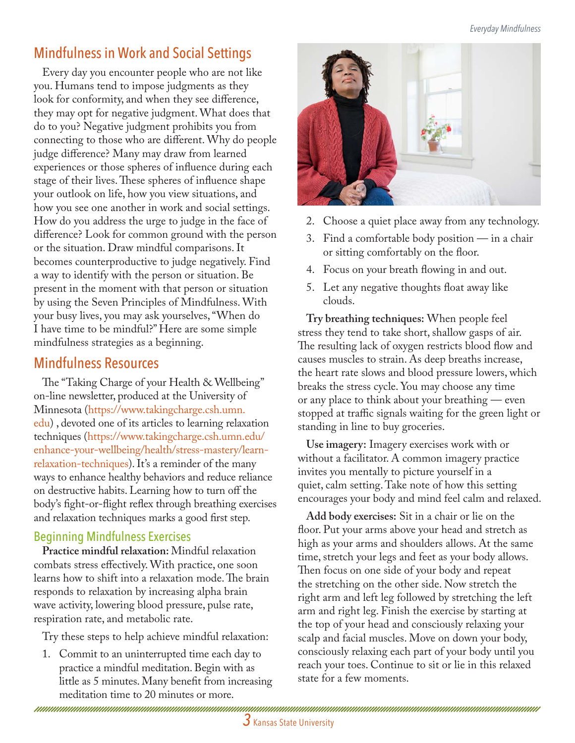# Mindfulness in Work and Social Settings

Every day you encounter people who are not like you. Humans tend to impose judgments as they look for conformity, and when they see difference, they may opt for negative judgment. What does that do to you? Negative judgment prohibits you from connecting to those who are different. Why do people judge difference? Many may draw from learned experiences or those spheres of influence during each stage of their lives. These spheres of influence shape your outlook on life, how you view situations, and how you see one another in work and social settings. How do you address the urge to judge in the face of difference? Look for common ground with the person or the situation. Draw mindful comparisons. It becomes counterproductive to judge negatively. Find a way to identify with the person or situation. Be present in the moment with that person or situation by using the Seven Principles of Mindfulness. With your busy lives, you may ask yourselves, "When do I have time to be mindful?" Here are some simple mindfulness strategies as a beginning.

## Mindfulness Resources

The "Taking Charge of your Health & Wellbeing" on-line newsletter, produced at the University of Minnesota ([https://www.takingcharge.csh.umn.](https://www.takingcharge.csh.umn.edu) [edu](https://www.takingcharge.csh.umn.edu)) , devoted one of its articles to learning relaxation techniques [\(https://www.takingcharge.csh.umn.edu/](https://www.takingcharge.csh.umn.edu/enhance-your-wellbeing/health/stress-mastery/learn-relaxation-techniques) [enhance-your-wellbeing/health/stress-mastery/learn](https://www.takingcharge.csh.umn.edu/enhance-your-wellbeing/health/stress-mastery/learn-relaxation-techniques)[relaxation-techniques\)](https://www.takingcharge.csh.umn.edu/enhance-your-wellbeing/health/stress-mastery/learn-relaxation-techniques). It's a reminder of the many ways to enhance healthy behaviors and reduce reliance on destructive habits. Learning how to turn off the body's fight-or-flight reflex through breathing exercises and relaxation techniques marks a good first step.

#### Beginning Mindfulness Exercises

**Practice mindful relaxation:** Mindful relaxation combats stress effectively. With practice, one soon learns how to shift into a relaxation mode. The brain responds to relaxation by increasing alpha brain wave activity, lowering blood pressure, pulse rate, respiration rate, and metabolic rate.

Try these steps to help achieve mindful relaxation:

1. Commit to an uninterrupted time each day to practice a mindful meditation. Begin with as little as 5 minutes. Many benefit from increasing meditation time to 20 minutes or more.



- 2. Choose a quiet place away from any technology.
- 3. Find a comfortable body position in a chair or sitting comfortably on the floor.
- 4. Focus on your breath flowing in and out.
- 5. Let any negative thoughts float away like clouds.

**Try breathing techniques:** When people feel stress they tend to take short, shallow gasps of air. The resulting lack of oxygen restricts blood flow and causes muscles to strain. As deep breaths increase, the heart rate slows and blood pressure lowers, which breaks the stress cycle. You may choose any time or any place to think about your breathing — even stopped at traffic signals waiting for the green light or standing in line to buy groceries.

**Use imagery:** Imagery exercises work with or without a facilitator. A common imagery practice invites you mentally to picture yourself in a quiet, calm setting. Take note of how this setting encourages your body and mind feel calm and relaxed.

**Add body exercises:** Sit in a chair or lie on the floor. Put your arms above your head and stretch as high as your arms and shoulders allows. At the same time, stretch your legs and feet as your body allows. Then focus on one side of your body and repeat the stretching on the other side. Now stretch the right arm and left leg followed by stretching the left arm and right leg. Finish the exercise by starting at the top of your head and consciously relaxing your scalp and facial muscles. Move on down your body, consciously relaxing each part of your body until you reach your toes. Continue to sit or lie in this relaxed state for a few moments.